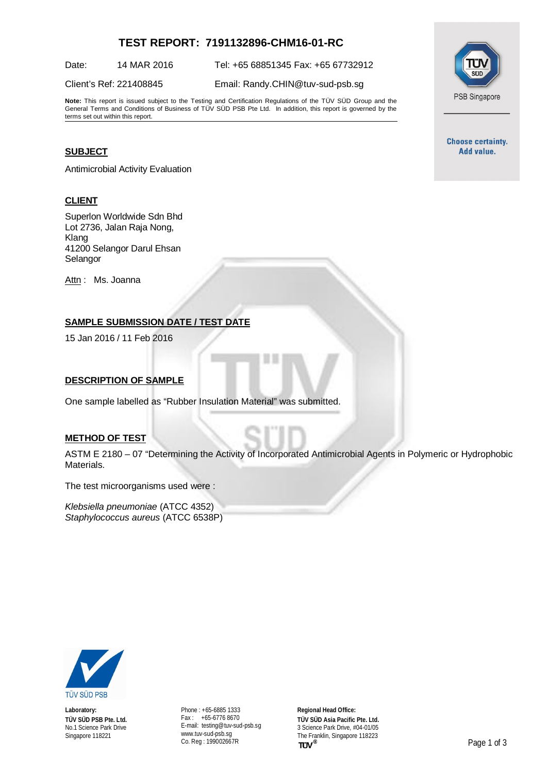# **TEST REPORT: 7191132896-CHM16-01-RC**

Date: 14 MAR 2016 Tel: +65 68851345 Fax: +65 67732912

Client's Ref: 221408845 Email: [Randy.CHIN@tuv-sud-psb.sg](mailto:Randy.CHIN@tuv-sud-psb.sg)

**Note:** This report is issued subject to the Testing and Certification Regulations of the TÜV SÜD Group and the General Terms and Conditions of Business of TÜV SÜD PSB Pte Ltd. In addition, this report is governed by the terms set out within this report.

# **SUBJECT**

Antimicrobial Activity Evaluation

#### **CLIENT**

Superlon Worldwide Sdn Bhd Lot 2736, Jalan Raja Nong, Klang 41200 Selangor Darul Ehsan Selangor

Attn: Ms. Joanna

# **SAMPLE SUBMISSION DATE / TEST DATE**

15 Jan 2016 / 11 Feb 2016

#### **DESCRIPTION OF SAMPLE**

One sample labelled as "Rubber Insulation Material" was submitted.

#### **METHOD OF TEST**

ASTM E 2180 – 07 "Determining the Activity of Incorporated Antimicrobial Agents in Polymeric or Hydrophobic Materials.

The test microorganisms used were :

*Klebsiella pneumoniae* (ATCC 4352) *Staphylococcus aureus* (ATCC 6538P)



**Laboratory: TÜV SÜD PSB Pte. Ltd.** No.1 Science Park Drive Singapore 118221

Phone : +65-6885 1333 Fax : +65-6776 8670 E-mail: [testing@tuv-sud-psb.sg](mailto:testing@tuv-sud-psb.sg) [www.tuv-sud-psb.sg](http://www.tuv-sud-psb.sg/) Co. Reg : 199002667R

**Regional Head Office: TÜV SÜD Asia Pacific Pte. Ltd.** 3 Science Park Drive, #04-01/05 The Franklin, Singapore 118223<br>
TUV<sup>®</sup>



**Choose certainty.** Add value.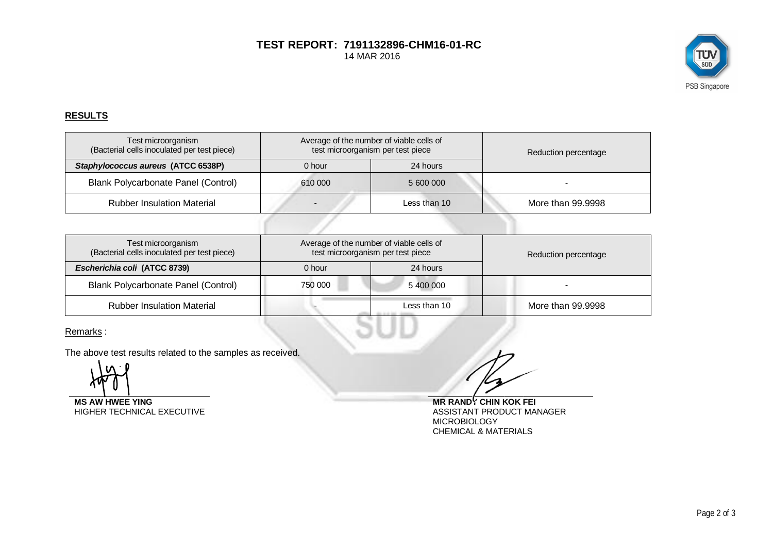## **TEST REPORT: 7191132896-CHM16-01-RC** 14 MAR 2016



## **RESULTS**

| Test microorganism<br>(Bacterial cells inoculated per test piece) | Average of the number of viable cells of<br>test microorganism per test piece |              | Reduction percentage |
|-------------------------------------------------------------------|-------------------------------------------------------------------------------|--------------|----------------------|
| Staphylococcus aureus (ATCC 6538P)                                | 0 hour                                                                        | 24 hours     |                      |
| Blank Polycarbonate Panel (Control)                               | 610 000                                                                       | 5 600 000    |                      |
| <b>Rubber Insulation Material</b>                                 |                                                                               | Less than 10 | More than 99.9998    |
|                                                                   |                                                                               |              |                      |

| Test microorganism<br>(Bacterial cells inoculated per test piece) | Average of the number of viable cells of<br>test microorganism per test piece |              | Reduction percentage |
|-------------------------------------------------------------------|-------------------------------------------------------------------------------|--------------|----------------------|
| Escherichia coli (ATCC 8739)                                      | 0 hour                                                                        | 24 hours     |                      |
| Blank Polycarbonate Panel (Control)                               | 750 000                                                                       | 5400000      |                      |
| <b>Rubber Insulation Material</b>                                 |                                                                               | Less than 10 | More than 99.9998    |

ЭU

Remarks :

The above test results related to the samples as received.

HIGHER TECHNICAL EXECUTIVE

**MS AW HWEE YING**<br>
HIGHER TECHNICAL EXECUTIVE<br>
ASSISTANT PRODUCT MANAGER **MICROBIOLOGY** CHEMICAL & MATERIALS